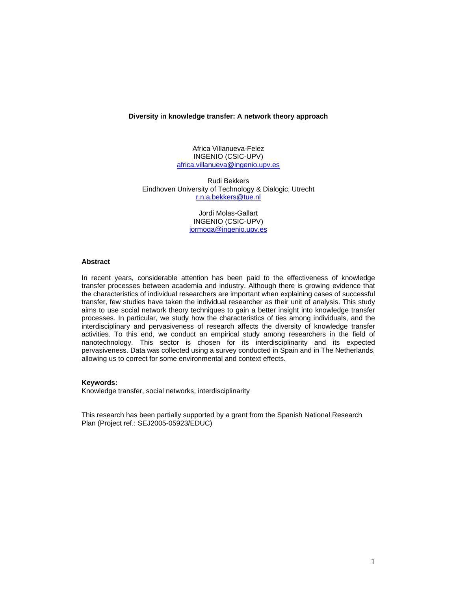### **Diversity in knowledge transfer: A network theory approach**

Africa Villanueva-Felez INGENIO (CSIC-UPV) africa.villanueva@ingenio.upv.es

Rudi Bekkers Eindhoven University of Technology & Dialogic, Utrecht r.n.a.bekkers@tue.nl

> Jordi Molas-Gallart INGENIO (CSIC-UPV) jormoga@ingenio.upv.es

## **Abstract**

In recent years, considerable attention has been paid to the effectiveness of knowledge transfer processes between academia and industry. Although there is growing evidence that the characteristics of individual researchers are important when explaining cases of successful transfer, few studies have taken the individual researcher as their unit of analysis. This study aims to use social network theory techniques to gain a better insight into knowledge transfer processes. In particular, we study how the characteristics of ties among individuals, and the interdisciplinary and pervasiveness of research affects the diversity of knowledge transfer activities. To this end, we conduct an empirical study among researchers in the field of nanotechnology. This sector is chosen for its interdisciplinarity and its expected pervasiveness. Data was collected using a survey conducted in Spain and in The Netherlands, allowing us to correct for some environmental and context effects.

# **Keywords:**

Knowledge transfer, social networks, interdisciplinarity

This research has been partially supported by a grant from the Spanish National Research Plan (Project ref.: SEJ2005-05923/EDUC)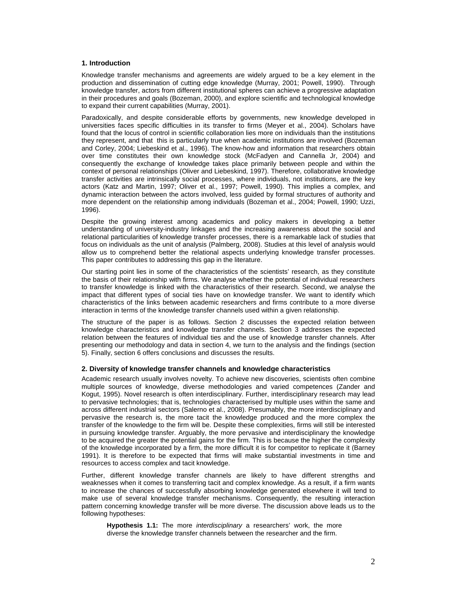## **1. Introduction**

Knowledge transfer mechanisms and agreements are widely argued to be a key element in the production and dissemination of cutting edge knowledge (Murray, 2001; Powell, 1990). Through knowledge transfer, actors from different institutional spheres can achieve a progressive adaptation in their procedures and goals (Bozeman, 2000), and explore scientific and technological knowledge to expand their current capabilities (Murray, 2001).

Paradoxically, and despite considerable efforts by governments, new knowledge developed in universities faces specific difficulties in its transfer to firms (Meyer et al., 2004). Scholars have found that the locus of control in scientific collaboration lies more on individuals than the institutions they represent, and that this is particularly true when academic institutions are involved (Bozeman and Corley, 2004; Liebeskind et al., 1996). The know-how and information that researchers obtain over time constitutes their own knowledge stock (McFadyen and Cannella Jr, 2004) and consequently the exchange of knowledge takes place primarily between people and within the context of personal relationships (Oliver and Liebeskind, 1997). Therefore, collaborative knowledge transfer activities are intrinsically social processes, where individuals, not institutions, are the key actors (Katz and Martin, 1997; Oliver et al., 1997; Powell, 1990). This implies a complex, and dynamic interaction between the actors involved, less guided by formal structures of authority and more dependent on the relationship among individuals (Bozeman et al., 2004; Powell, 1990; Uzzi, 1996).

Despite the growing interest among academics and policy makers in developing a better understanding of university-industry linkages and the increasing awareness about the social and relational particularities of knowledge transfer processes, there is a remarkable lack of studies that focus on individuals as the unit of analysis (Palmberg, 2008). Studies at this level of analysis would allow us to comprehend better the relational aspects underlying knowledge transfer processes. This paper contributes to addressing this gap in the literature.

Our starting point lies in some of the characteristics of the scientists' research, as they constitute the basis of their relationship with firms. We analyse whether the potential of individual researchers to transfer knowledge is linked with the characteristics of their research. Second, we analyse the impact that different types of social ties have on knowledge transfer. We want to identify which characteristics of the links between academic researchers and firms contribute to a more diverse interaction in terms of the knowledge transfer channels used within a given relationship.

The structure of the paper is as follows. Section 2 discusses the expected relation between knowledge characteristics and knowledge transfer channels. Section 3 addresses the expected relation between the features of individual ties and the use of knowledge transfer channels. After presenting our methodology and data in section 4, we turn to the analysis and the findings (section 5). Finally, section 6 offers conclusions and discusses the results.

# **2. Diversity of knowledge transfer channels and knowledge characteristics**

Academic research usually involves novelty. To achieve new discoveries, scientists often combine multiple sources of knowledge, diverse methodologies and varied competences (Zander and Kogut, 1995). Novel research is often interdisciplinary. Further, interdisciplinary research may lead to pervasive technologies; that is, technologies characterised by multiple uses within the same and across different industrial sectors (Salerno et al., 2008). Presumably, the more interdisciplinary and pervasive the research is, the more tacit the knowledge produced and the more complex the transfer of the knowledge to the firm will be. Despite these complexities, firms will still be interested in pursuing knowledge transfer. Arguably, the more pervasive and interdisciplinary the knowledge to be acquired the greater the potential gains for the firm. This is because the higher the complexity of the knowledge incorporated by a firm, the more difficult it is for competitor to replicate it (Barney 1991). It is therefore to be expected that firms will make substantial investments in time and resources to access complex and tacit knowledge.

Further, different knowledge transfer channels are likely to have different strengths and weaknesses when it comes to transferring tacit and complex knowledge. As a result, if a firm wants to increase the chances of successfully absorbing knowledge generated elsewhere it will tend to make use of several knowledge transfer mechanisms. Consequently, the resulting interaction pattern concerning knowledge transfer will be more diverse. The discussion above leads us to the following hypotheses:

**Hypothesis 1.1:** The more *interdisciplinary* a researchers' work, the more diverse the knowledge transfer channels between the researcher and the firm.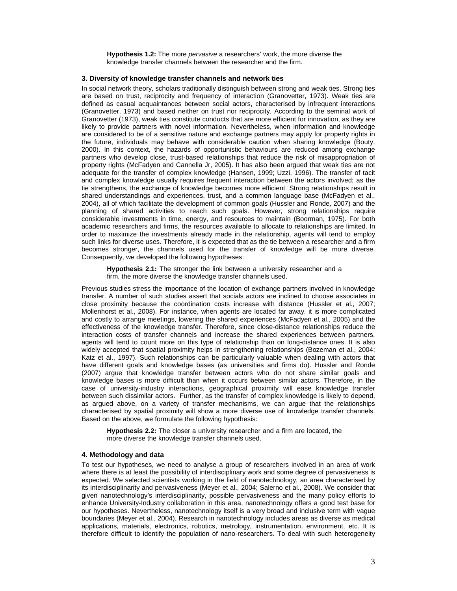**Hypothesis 1.2:** The more *pervasive* a researchers' work, the more diverse the knowledge transfer channels between the researcher and the firm.

## **3. Diversity of knowledge transfer channels and network ties**

In social network theory, scholars traditionally distinguish between strong and weak ties. Strong ties are based on trust, reciprocity and frequency of interaction (Granovetter, 1973). Weak ties are defined as casual acquaintances between social actors, characterised by infrequent interactions (Granovetter, 1973) and based neither on trust nor reciprocity. According to the seminal work of Granovetter (1973), weak ties constitute conducts that are more efficient for innovation, as they are likely to provide partners with novel information. Nevertheless, when information and knowledge are considered to be of a sensitive nature and exchange partners may apply for property rights in the future, individuals may behave with considerable caution when sharing knowledge (Bouty, 2000). In this context, the hazards of opportunistic behaviours are reduced among exchange partners who develop close, trust-based relationships that reduce the risk of misappropriation of property rights (McFadyen and Cannella Jr, 2005). It has also been argued that weak ties are not adequate for the transfer of complex knowledge (Hansen, 1999; Uzzi, 1996). The transfer of tacit and complex knowledge usually requires frequent interaction between the actors involved; as the tie strengthens, the exchange of knowledge becomes more efficient. Strong relationships result in shared understandings and experiences, trust, and a common language base (McFadyen et al., 2004), all of which facilitate the development of common goals (Hussler and Ronde, 2007) and the planning of shared activities to reach such goals. However, strong relationships require considerable investments in time, energy, and resources to maintain (Boorman, 1975). For both academic researchers and firms, the resources available to allocate to relationships are limited. In order to maximize the investments already made in the relationship, agents will tend to employ such links for diverse uses. Therefore, it is expected that as the tie between a researcher and a firm becomes stronger, the channels used for the transfer of knowledge will be more diverse. Consequently, we developed the following hypotheses:

**Hypothesis 2.1:** The stronger the link between a university researcher and a firm, the more diverse the knowledge transfer channels used.

Previous studies stress the importance of the location of exchange partners involved in knowledge transfer. A number of such studies assert that socials actors are inclined to choose associates in close proximity because the coordination costs increase with distance (Hussler et al., 2007; Mollenhorst et al., 2008). For instance, when agents are located far away, it is more complicated and costly to arrange meetings, lowering the shared experiences (McFadyen et al., 2005) and the effectiveness of the knowledge transfer. Therefore, since close-distance relationships reduce the interaction costs of transfer channels and increase the shared experiences between partners, agents will tend to count more on this type of relationship than on long-distance ones. It is also widely accepted that spatial proximity helps in strengthening relationships (Bozeman et al., 2004; Katz et al., 1997). Such relationships can be particularly valuable when dealing with actors that have different goals and knowledge bases (as universities and firms do). Hussler and Ronde (2007) argue that knowledge transfer between actors who do not share similar goals and knowledge bases is more difficult than when it occurs between similar actors. Therefore, in the case of university-industry interactions, geographical proximity will ease knowledge transfer between such dissimilar actors. Further, as the transfer of complex knowledge is likely to depend, as argued above, on a variety of transfer mechanisms, we can argue that the relationships characterised by spatial proximity will show a more diverse use of knowledge transfer channels. Based on the above, we formulate the following hypothesis:

**Hypothesis 2.2:** The closer a university researcher and a firm are located, the more diverse the knowledge transfer channels used.

#### **4. Methodology and data**

To test our hypotheses, we need to analyse a group of researchers involved in an area of work where there is at least the possibility of interdisciplinary work and some degree of pervasiveness is expected. We selected scientists working in the field of nanotechnology, an area characterised by its interdisciplinarity and pervasiveness (Meyer et al., 2004; Salerno et al., 2008). We consider that given nanotechnology's interdisciplinarity, possible pervasiveness and the many policy efforts to enhance University-Industry collaboration in this area, nanotechnology offers a good test base for our hypotheses. Nevertheless, nanotechnology itself is a very broad and inclusive term with vague boundaries (Meyer et al., 2004). Research in nanotechnology includes areas as diverse as medical applications, materials, electronics, robotics, metrology, instrumentation, environment, etc. It is therefore difficult to identify the population of nano-researchers. To deal with such heterogeneity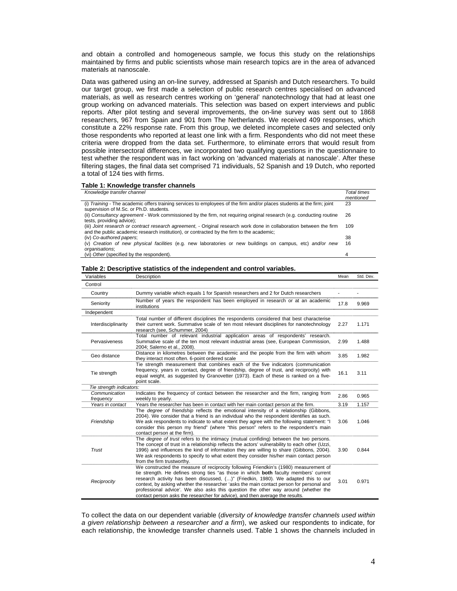and obtain a controlled and homogeneous sample, we focus this study on the relationships maintained by firms and public scientists whose main research topics are in the area of advanced materials at nanoscale.

Data was gathered using an on-line survey, addressed at Spanish and Dutch researchers. To build our target group, we first made a selection of public research centres specialised on advanced materials, as well as research centres working on 'general' nanotechnology that had at least one group working on advanced materials. This selection was based on expert interviews and public reports. After pilot testing and several improvements, the on-line survey was sent out to 1868 researchers, 967 from Spain and 901 from The Netherlands. We received 409 responses, which constitute a 22% response rate. From this group, we deleted incomplete cases and selected only those respondents who reported at least one link with a firm. Respondents who did not meet these criteria were dropped from the data set. Furthermore, to eliminate errors that would result from possible intersectoral differences, we incorporated two qualifying questions in the questionnaire to test whether the respondent was in fact working on 'advanced materials at nanoscale'. After these filtering stages, the final data set comprised 71 individuals, 52 Spanish and 19 Dutch, who reported a total of 124 ties with firms.

## **Table 1: Knowledge transfer channels**

| Knowledge transfer channel                                                                                                                                                                                        | Total times<br>mentioned |
|-------------------------------------------------------------------------------------------------------------------------------------------------------------------------------------------------------------------|--------------------------|
| (i) Training - The academic offers training services to employees of the firm and/or places students at the firm; joint<br>supervision of M.Sc. or Ph.D. students.                                                | 23                       |
| (ii) Consultancy agreement - Work commissioned by the firm, not requiring original research (e.g. conducting routine<br>tests, providing advice);                                                                 | 26                       |
| (iii) Joint research or contract research agreement, - Original research work done in collaboration between the firm<br>and the public academic research institution), or contracted by the firm to the academic; | 109                      |
| (iv) Co-authored papers;                                                                                                                                                                                          | 38                       |
| (v) Creation of new physical facilities (e.g. new laboratories or new buildings on campus, etc) and/or new<br>organisations;                                                                                      | 16                       |
| (vi) Other (specified by the respondent).                                                                                                                                                                         | 4                        |

| Variables                | Description                                                                                                                                                                                                                                                                                                                                                                                                                                                                                                                             | Mean | Std. Dev. |
|--------------------------|-----------------------------------------------------------------------------------------------------------------------------------------------------------------------------------------------------------------------------------------------------------------------------------------------------------------------------------------------------------------------------------------------------------------------------------------------------------------------------------------------------------------------------------------|------|-----------|
| Control                  |                                                                                                                                                                                                                                                                                                                                                                                                                                                                                                                                         |      |           |
| Country                  | Dummy variable which equals 1 for Spanish researchers and 2 for Dutch researchers                                                                                                                                                                                                                                                                                                                                                                                                                                                       |      |           |
| Seniority                | Number of years the respondent has been employed in research or at an academic<br>institutions                                                                                                                                                                                                                                                                                                                                                                                                                                          | 17.8 | 9.969     |
| Independent              |                                                                                                                                                                                                                                                                                                                                                                                                                                                                                                                                         |      |           |
| Interdisciplinarity      | Total number of different disciplines the respondents considered that best characterise<br>their current work. Summative scale of ten most relevant disciplines for nanotechnology<br>research (see, Schummer, 2004)                                                                                                                                                                                                                                                                                                                    | 2.27 | 1.171     |
| Pervasiveness            | Total number of relevant industrial application areas of respondents' research.<br>Summative scale of the ten most relevant industrial areas (see, European Commission,<br>2004; Salerno et al., 2008).                                                                                                                                                                                                                                                                                                                                 | 2.99 | 1.488     |
| Geo distance             | Distance in kilometres between the academic and the people from the firm with whom<br>they interact most often. 6-point ordered scale                                                                                                                                                                                                                                                                                                                                                                                                   | 3.85 | 1.982     |
| Tie strength             | Tie strength measurement that combines each of the five indicators (communication<br>frequency, years in contact, degree of friendship, degree of trust, and reciprocity) with<br>equal weight, as suggested by Granovetter (1973). Each of these is ranked on a five-<br>point scale.                                                                                                                                                                                                                                                  |      | 3.11      |
| Tie strength indicators: |                                                                                                                                                                                                                                                                                                                                                                                                                                                                                                                                         |      |           |
| Communication            | Indicates the frequency of contact between the researcher and the firm, ranging from                                                                                                                                                                                                                                                                                                                                                                                                                                                    | 2.86 | 0.965     |
| frequency                | weekly to yearly.                                                                                                                                                                                                                                                                                                                                                                                                                                                                                                                       |      |           |
| Years in contact         | Years the researcher has been in contact with her main contact person at the firm.                                                                                                                                                                                                                                                                                                                                                                                                                                                      | 3.19 | 1.157     |
| Friendship               | The <i>degree of friendship</i> reflects the emotional intensity of a relationship (Gibbons,<br>2004). We consider that a friend is an individual who the respondent identifies as such.<br>We ask respondents to indicate to what extent they agree with the following statement: "I<br>consider this person my friend" (where "this person" refers to the respondent's main<br>contact person at the firm).                                                                                                                           | 3.06 | 1.046     |
| Trust                    | The <i>degree of trust</i> refers to the intimacy (mutual confiding) between the two persons.<br>The concept of trust in a relationship reflects the actors' vulnerability to each other (Uzzi,<br>1996) and influences the kind of information they are willing to share (Gibbons, 2004).<br>We ask respondents to specify to what extent they consider his/her main contact person<br>from the firm trustworthy.                                                                                                                      | 3.90 | 0.844     |
| Reciprocity              | We constructed the measure of reciprocity following Friendkin's (1980) measurement of<br>tie strength. He defines strong ties "as those in which both faculty members' current<br>research activity has been discussed, ()" (Friedkin, 1980). We adapted this to our<br>context, by asking whether the researcher 'asks the main contact person for personal and<br>professional advice'. We also asks this question the other way around (whether the<br>contact person asks the researcher for advice), and then average the results. | 3.01 | 0.971     |

#### **Table 2: Descriptive statistics of the independent and control variables.**

To collect the data on our dependent variable (*diversity of knowledge transfer channels used within a given relationship between a researcher and a firm*), we asked our respondents to indicate, for each relationship, the knowledge transfer channels used. Table 1 shows the channels included in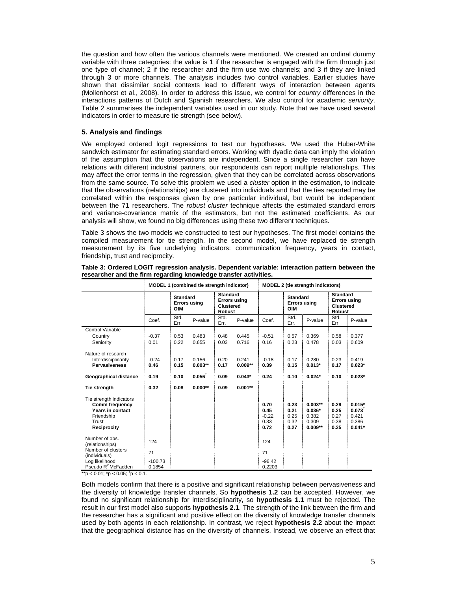the question and how often the various channels were mentioned. We created an ordinal dummy variable with three categories: the value is 1 if the researcher is engaged with the firm through just one type of channel; 2 if the researcher and the firm use two channels; and 3 if they are linked through 3 or more channels. The analysis includes two control variables. Earlier studies have shown that dissimilar social contexts lead to different ways of interaction between agents (Mollenhorst et al., 2008). In order to address this issue, we control for *country* differences in the interactions patterns of Dutch and Spanish researchers. We also control for academic *seniority*. Table 2 summarises the independent variables used in our study. Note that we have used several indicators in order to measure tie strength (see below).

# **5. Analysis and findings**

We employed ordered logit regressions to test our hypotheses. We used the Huber-White sandwich estimator for estimating standard errors. Working with dyadic data can imply the violation of the assumption that the observations are independent. Since a single researcher can have relations with different industrial partners, our respondents can report multiple relationships. This may affect the error terms in the regression, given that they can be correlated across observations from the same source. To solve this problem we used a *cluster* option in the estimation, to indicate that the observations (relationships) are clustered into individuals and that the ties reported may be correlated within the responses given by one particular individual, but would be independent between the 71 researchers. The *robust cluster* technique affects the estimated standard errors and variance-covariance matrix of the estimators, but not the estimated coefficients. As our analysis will show, we found no big differences using these two different techniques.

Table 3 shows the two models we constructed to test our hypotheses. The first model contains the compiled measurement for tie strength. In the second model, we have replaced tie strength measurement by its five underlying indicators: communication frequency, years in contact, friendship, trust and reciprocity.

|                                                                                                     | MODEL 1 (combined tie strength indicator) |                                                      |                    |                                                                             | <b>MODEL 2 (tie strength indicators)</b> |                                         |                                                      |                                                      |                                                                             |                                                             |
|-----------------------------------------------------------------------------------------------------|-------------------------------------------|------------------------------------------------------|--------------------|-----------------------------------------------------------------------------|------------------------------------------|-----------------------------------------|------------------------------------------------------|------------------------------------------------------|-----------------------------------------------------------------------------|-------------------------------------------------------------|
|                                                                                                     |                                           | <b>Standard</b><br><b>Errors using</b><br><b>OIM</b> |                    | <b>Standard</b><br><b>Errors using</b><br><b>Clustered</b><br><b>Robust</b> |                                          |                                         | <b>Standard</b><br><b>Errors using</b><br><b>OIM</b> |                                                      | <b>Standard</b><br><b>Errors using</b><br><b>Clustered</b><br><b>Robust</b> |                                                             |
|                                                                                                     | Coef.                                     | Std.<br>Err.                                         | P-value            | Std.<br>Err.                                                                | P-value                                  | Coef.                                   | Std.<br>Err.                                         | P-value                                              | Std.<br>Err.                                                                | P-value                                                     |
| Control Variable                                                                                    |                                           |                                                      |                    |                                                                             |                                          |                                         |                                                      |                                                      |                                                                             |                                                             |
| Country                                                                                             | $-0.37$                                   | 0.53                                                 | 0.483              | 0.48                                                                        | 0.445                                    | $-0.51$                                 | 0.57                                                 | 0.369                                                | 0.58                                                                        | 0.377                                                       |
| Seniority                                                                                           | 0.01                                      | 0.22                                                 | 0.655              | 0.03                                                                        | 0.716                                    | 0.16                                    | 0.23                                                 | 0.478                                                | 0.03                                                                        | 0.609                                                       |
| Nature of research<br>Interdisciplinarity<br><b>Pervasiveness</b>                                   | $-0.24$<br>0.46                           | 0.17<br>0.15                                         | 0.156<br>$0.003**$ | 0.20<br>0.17                                                                | 0.241<br>$0.009**$                       | $-0.18$<br>0.39                         | 0.17<br>0.15                                         | 0.280<br>$0.013*$                                    | 0.23<br>0.17                                                                | 0.419<br>$0.023*$                                           |
| Geographical distance                                                                               | 0.19                                      | 0.10                                                 | $0.056^\dagger$    | 0.09                                                                        | $0.043*$                                 | 0.24                                    | 0.10                                                 | $0.024*$                                             | 0.10                                                                        | $0.023*$                                                    |
| Tie strength                                                                                        | 0.32                                      | 0.08                                                 | $0.000**$          | 0.09                                                                        | $0.001**$                                |                                         |                                                      |                                                      |                                                                             |                                                             |
| Tie strength indicators<br>Comm frequency<br>Years in contact<br>Friendship<br>Trust<br>Reciprocity |                                           |                                                      |                    |                                                                             |                                          | 0.70<br>0.45<br>$-0.22$<br>0.33<br>0.72 | 0.23<br>0.21<br>0.25<br>0.32<br>0.27                 | $0.003**$<br>$0.036*$<br>0.382<br>0.309<br>$0.009**$ | 0.29<br>0.25<br>0.27<br>0.38<br>0.35                                        | $0.015*$<br>$0.073^{\dagger}$<br>0.421<br>0.386<br>$0.041*$ |
| Number of obs.<br>(relationships)                                                                   | 124                                       |                                                      |                    |                                                                             |                                          | 124                                     |                                                      |                                                      |                                                                             |                                                             |
| Number of clusters<br>(individuals)                                                                 | 71                                        |                                                      |                    |                                                                             |                                          | 71                                      |                                                      |                                                      |                                                                             |                                                             |
| Log likelihood<br>Pseudo R <sup>2</sup> McFadden                                                    | $-100.73$<br>0.1854                       |                                                      |                    |                                                                             |                                          | $-96.42$<br>0.2203                      |                                                      |                                                      |                                                                             |                                                             |

**Table 3: Ordered LOGIT regression analysis. Dependent variable: interaction pattern between the researcher and the firm regarding knowledge transfer activities.** 

\*\*p < 0.01; \*p < 0.05; <sup>†</sup>p < 0.1.

Both models confirm that there is a positive and significant relationship between pervasiveness and the diversity of knowledge transfer channels. So **hypothesis 1.2** can be accepted. However, we found no significant relationship for interdisciplinarity, so **hypothesis 1.1** must be rejected. The result in our first model also supports **hypothesis 2.1**. The strength of the link between the firm and the researcher has a significant and positive effect on the diversity of knowledge transfer channels used by both agents in each relationship. In contrast, we reject **hypothesis 2.2** about the impact that the geographical distance has on the diversity of channels. Instead, we observe an effect that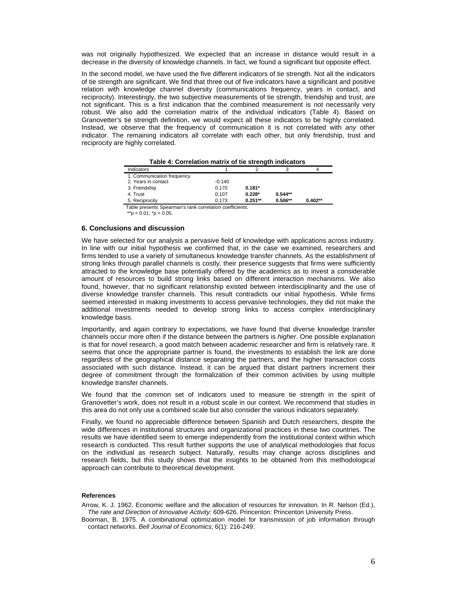was not originally hypothesized. We expected that an increase in distance would result in a decrease in the diversity of knowledge channels. In fact, we found a significant but opposite effect.

In the second model, we have used the five different indicators of tie strength. Not all the indicators of tie strength are significant. We find that three out of five indicators have a significant and positive relation with knowledge channel diversity (communications frequency, years in contact, and reciprocity). Interestingly, the two subjective measurements of tie strength, friendship and trust, are not significant. This is a first indication that the combined measurement is not necessarily very robust. We also add the correlation matrix of the individual indicators (Table 4). Based on Granovetter's tie strength definition, we would expect all these indicators to be highly correlated. Instead, we observe that the frequency of communication it is not correlated with *any* other indicator. The remaining indicators all correlate with each other, but only friendship, trust and reciprocity are highly correlated.

| rable 4. Correlation matrix of the strength indicators   |          |           |           |           |  |  |  |  |
|----------------------------------------------------------|----------|-----------|-----------|-----------|--|--|--|--|
| Indicators                                               |          |           |           |           |  |  |  |  |
| 1. Communication frequency                               |          |           |           |           |  |  |  |  |
| 2. Years in contact                                      | $-0.140$ |           |           |           |  |  |  |  |
| 3. Friendship                                            | 0.170    | $0.181*$  |           |           |  |  |  |  |
| 4. Trust                                                 | 0.107    | $0.228*$  | $0.544**$ |           |  |  |  |  |
| 5. Reciprocity                                           | 0.173    | $0.251**$ | $0.506**$ | $0.402**$ |  |  |  |  |
| Table presents Spearman's rank correlation coefficients. |          |           |           |           |  |  |  |  |
| **p < $0.01$ ; *p < $0.05$ .                             |          |           |           |           |  |  |  |  |

 **Table 4: Correlation matrix of tie strength indicators** 

#### **6. Conclusions and discussion**

We have selected for our analysis a pervasive field of knowledge with applications across industry. In line with our initial hypothesis we confirmed that, in the case we examined, researchers and firms tended to use a variety of simultaneous knowledge transfer channels. As the establishment of strong links through parallel channels is costly, their presence suggests that firms were sufficiently attracted to the knowledge base potentially offered by the academics as to invest a considerable amount of resources to build strong links based on different interaction mechanisms. We also found, however, that no significant relationship existed between interdisciplinarity and the use of diverse knowledge transfer channels. This result contradicts our initial hypothesis. While firms seemed interested in making investments to access pervasive technologies, they did not make the additional investments needed to develop strong links to access complex interdisciplinary knowledge basis.

Importantly, and again contrary to expectations, we have found that diverse knowledge transfer channels occur more often if the distance between the partners is *higher*. One possible explanation is that for novel research, a good match between academic researcher and firm is relatively rare. It seems that once the appropriate partner is found, the investments to establish the link are done regardless of the geographical distance separating the partners, and the higher transaction costs associated with such distance. Instead, it can be argued that distant partners increment their degree of commitment through the formalization of their common activities by using multiple knowledge transfer channels.

We found that the common set of indicators used to measure tie strength in the spirit of Granovetter's work, does not result in a robust scale in our context. We recommend that studies in this area do not only use a combined scale but also consider the various indicators separately.

Finally, we found no appreciable difference between Spanish and Dutch researchers, despite the wide differences in institutional structures and organizational practices in these two countries. The results we have identified seem to emerge independently from the institutional context within which research is conducted. This result further supports the use of analytical methodologies that focus on the individual as research subject. Naturally, results may change across disciplines and research fields, but this study shows that the insights to be obtained from this methodological approach can contribute to theoretical development.

### **References**

Arrow, K. J. 1962. Economic welfare and the allocation of resources for innovation. In R. Nelson (Ed.), *The rate and Direction of Innovative Activity*: 609-626. Princenton: Princenton University Press.

Boorman, B. 1975. A combinational optimization model for transmission of job information through contact networks. *Bell Journal of Economics*, 6(1): 216-249.